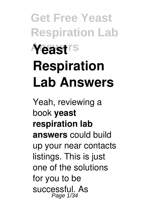# **Get Free Yeast Respiration Lab Answers Yeast Respiration Lab Answers**

Yeah, reviewing a book **yeast respiration lab answers** could build up your near contacts listings. This is just one of the solutions for you to be successful. As Page 1/34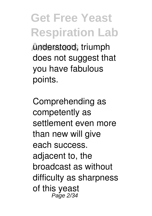**Answers** understood, triumph does not suggest that you have fabulous points.

Comprehending as competently as settlement even more than new will give each success. adjacent to, the broadcast as without difficulty as sharpness of this yeast Page 2/34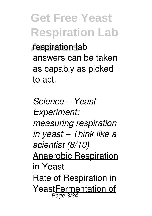**respiration** lab answers can be taken as capably as picked to act.

*Science – Yeast Experiment: measuring respiration in yeast – Think like a scientist (8/10)* Anaerobic Respiration in Yeast Rate of Respiration in YeastFermentation of Page 3/34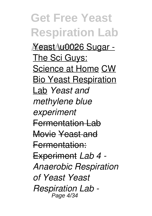**Get Free Yeast Respiration Lab Answers** Yeast \u0026 Sugar - The Sci Guys: Science at Home CW Bio Yeast Respiration Lab *Yeast and methylene blue experiment* Fermentation Lab Movie Yeast and Fermentation: Experiment *Lab 4 - Anaerobic Respiration of Yeast Yeast Respiration Lab -* Page 4/34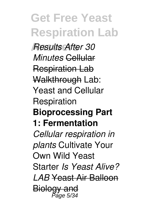**Answers** *Results After 30 Minutes* Cellular Respiration Lab Walkthrough Lab: Yeast and Cellular Respiration **Bioprocessing Part 1: Fermentation** *Cellular respiration in plants* Cultivate Your Own Wild Yeast Starter *Is Yeast Alive? LAB* Yeast Air Balloon Biology and<br><sup>23,4</sup> <sup>Page</sup>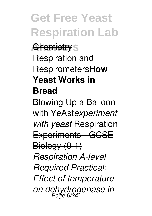**Chemistry** S Respiration and Respirometers**How Yeast Works in Bread**

Blowing Up a Balloon with YeAst*experiment with yeast* Respiration Experiments - GCSE Biology (9-1) *Respiration A-level Required Practical: Effect of temperature on dehydrogenase in* Page 6/34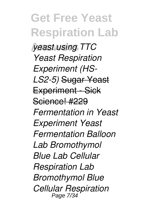**Answers** *yeast using TTC Yeast Respiration Experiment (HS-LS2-5)* Sugar Yeast Experiment - Sick Science! #229 *Fermentation in Yeast Experiment Yeast Fermentation Balloon Lab Bromothymol Blue Lab Cellular Respiration Lab Bromothymol Blue Cellular Respiration* Page 7/34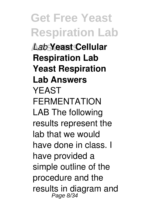**Get Free Yeast Respiration Lab Answers** *Lab* **Yeast Cellular Respiration Lab Yeast Respiration Lab Answers** YEAST FERMENTATION LAB The following results represent the lab that we would have done in class. I have provided a simple outline of the procedure and the results in diagram and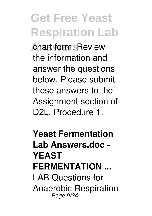**Answers** chart form. Review the information and answer the questions below. Please submit these answers to the Assignment section of D2L. Procedure 1.

**Yeast Fermentation Lab Answers.doc - YEAST FERMENTATION ...** LAB Questions for Anaerobic Respiration Page 9/34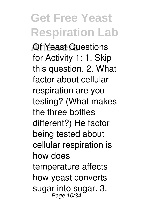**Andreast Questions** for Activity 1: 1. Skip this question. 2. What factor about cellular respiration are you testing? (What makes the three bottles different?) He factor being tested about cellular respiration is how does temperature affects how yeast converts sugar into sugar. 3.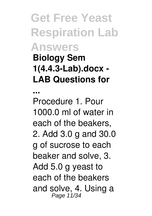#### **Get Free Yeast Respiration Lab Answers Biology Sem 1(4.4.3-Lab).docx - LAB Questions for**

**...**

Procedure 1. Pour 1000.0 ml of water in each of the beakers, 2. Add 3.0 g and 30.0 g of sucrose to each beaker and solve, 3. Add 5.0 g yeast to each of the beakers and solve, 4. Using a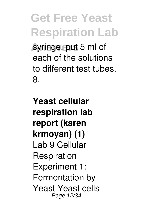**Answers** syringe, put 5 ml of each of the solutions to different test tubes. 8.

**Yeast cellular respiration lab report (karen krmoyan) (1)** Lab 9 Cellular Respiration Experiment 1: Fermentation by Yeast Yeast cells Page 12/34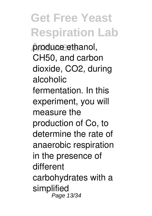**Answers** produce ethanol, CH50, and carbon dioxide, CO2, during alcoholic fermentation. In this experiment, you will measure the production of Co, to determine the rate of anaerobic respiration in the presence of different carbohydrates with a simplified Page 13/34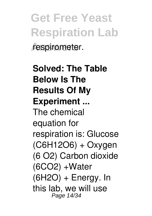**Get Free Yeast Respiration Lab** respirometer.

**Solved: The Table Below Is The Results Of My Experiment ...** The chemical equation for respiration is: Glucose (C6H12O6) + Oxygen (6 O2) Carbon dioxide  $(6CO2) + Water$  $(6H2O) + Energy$ . In this lab, we will use Page 14/34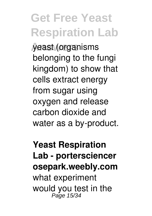**Answers** yeast (organisms belonging to the fungi kingdom) to show that cells extract energy from sugar using oxygen and release carbon dioxide and water as a by-product.

**Yeast Respiration Lab - portersciencer osepark.weebly.com** what experiment would you test in the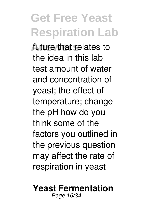**Answers** future that relates to the idea in this lab test amount of water and concentration of yeast; the effect of temperature; change the pH how do you think some of the factors you outlined in the previous question may affect the rate of respiration in yeast

#### **Yeast Fermentation** Page 16/34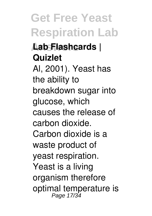#### **Answers Lab Flashcards | Quizlet**

#### Al, 2001). Yeast has the ability to breakdown sugar into glucose, which causes the release of carbon dioxide. Carbon dioxide is a waste product of yeast respiration. Yeast is a living organism therefore

optimal temperature is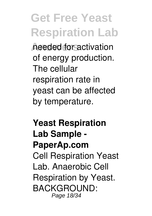**Answers** needed for activation of energy production. The cellular respiration rate in yeast can be affected by temperature.

#### **Yeast Respiration Lab Sample - PaperAp.com** Cell Respiration Yeast Lab. Anaerobic Cell Respiration by Yeast. BACKGROUND: Page 18/34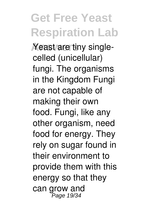*A* Yeast are tiny singlecelled (unicellular) fungi. The organisms in the Kingdom Fungi are not capable of making their own food. Fungi, like any other organism, need food for energy. They rely on sugar found in their environment to provide them with this energy so that they can grow and Page 19/34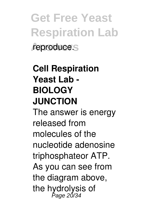**Get Free Yeast Respiration Lab** reproduce.

#### **Cell Respiration Yeast Lab - BIOLOGY JUNCTION**

The answer is energy released from molecules of the nucleotide adenosine triphosphateor ATP. As you can see from the diagram above, the hydrolysis of Page 20/34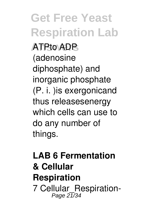**Answers** ATPto ADP (adenosine diphosphate) and inorganic phosphate (P. i. )is exergonicand thus releasesenergy which cells can use to do any number of things.

#### **LAB 6 Fermentation & Cellular Respiration** 7 Cellular\_Respiration-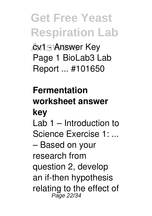**cv1 - Answer Key** Page 1 BioLab3 Lab Report ... #101650

#### **Fermentation worksheet answer key** Lab 1 – Introduction to Science Exercise 1: ... – Based on your research from question 2, develop an if-then hypothesis relating to the effect of Page 22/34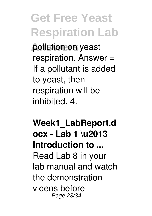**Answers** pollution on yeast respiration. Answer = If a pollutant is added to yeast, then respiration will be inhibited. 4.

**Week1\_LabReport.d ocx - Lab 1 \u2013 Introduction to ...** Read Lab 8 in your lab manual and watch the demonstration videos before Page 23/34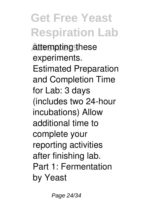**Answers** attempting these experiments. Estimated Preparation and Completion Time for Lab: 3 days (includes two 24-hour incubations) Allow additional time to complete your reporting activities after finishing lab. Part 1: Fermentation by Yeast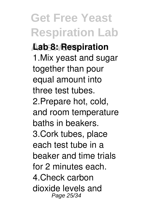# **Answers Lab 8: Respiration**

1.Mix yeast and sugar together than pour equal amount into three test tubes. 2.Prepare hot, cold, and room temperature baths in beakers. 3.Cork tubes, place each test tube in a beaker and time trials for 2 minutes each. 4.Check carbon dioxide levels and Page 25/34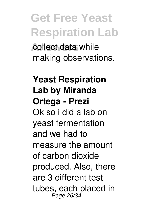**Answers** collect data while making observations.

#### **Yeast Respiration Lab by Miranda Ortega - Prezi** Ok so i did a lab on yeast fermentation and we had to measure the amount of carbon dioxide produced. Also, there are 3 different test tubes, each placed in<br>Page 26/34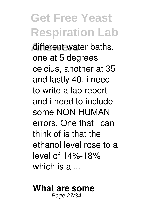**Answers** different water baths, one at 5 degrees celcius, another at 35 and lastly 40. i need to write a lab report and i need to include some NON HUMAN errors. One that i can think of is that the ethanol level rose to a level of 14%-18% which is a ...

#### **What are some** Page 27/34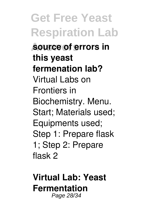**Get Free Yeast Respiration Lab Answers source of errors in this yeast fermenation lab?** Virtual Labs on Frontiers in Biochemistry. Menu. Start; Materials used; Equipments used; Step 1: Prepare flask 1; Step 2: Prepare flask 2

**Virtual Lab: Yeast Fermentation** Page 28/34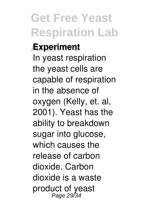#### **Experiment**

In yeast respiration the yeast cells are capable of respiration in the absence of oxygen (Kelly, et. al, 2001). Yeast has the ability to breakdown sugar into glucose, which causes the release of carbon dioxide. Carbon dioxide is a waste product of yeast Page 29/34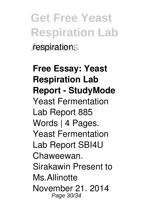**Get Free Yeast Respiration Lab Answers** respiration.

**Free Essay: Yeast Respiration Lab Report - StudyMode** Yeast Fermentation Lab Report 885 Words | 4 Pages. Yeast Fermentation Lab Report SBI4U Chaweewan. Sirakawin Present to Ms.Allinotte November 21. 2014 Page 30/34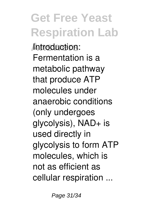**Answers** Introduction: Fermentation is a metabolic pathway that produce ATP molecules under anaerobic conditions (only undergoes glycolysis), NAD+ is used directly in glycolysis to form ATP molecules, which is not as efficient as cellular respiration ...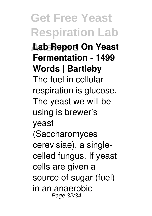**Get Free Yeast Respiration Lab Answers Lab Report On Yeast Fermentation - 1499 Words | Bartleby** The fuel in cellular respiration is glucose. The yeast we will be using is brewer's yeast (Saccharomyces cerevisiae), a singlecelled fungus. If yeast cells are given a source of sugar (fuel) in an anaerobic Page 32/34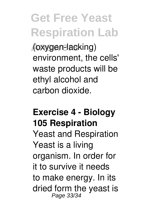**Answers** (oxygen-lacking) environment, the cells' waste products will be ethyl alcohol and carbon dioxide.

#### **Exercise 4 - Biology 105 Respiration** Yeast and Respiration Yeast is a living organism. In order for it to survive it needs to make energy. In its dried form the yeast is Page 33/34